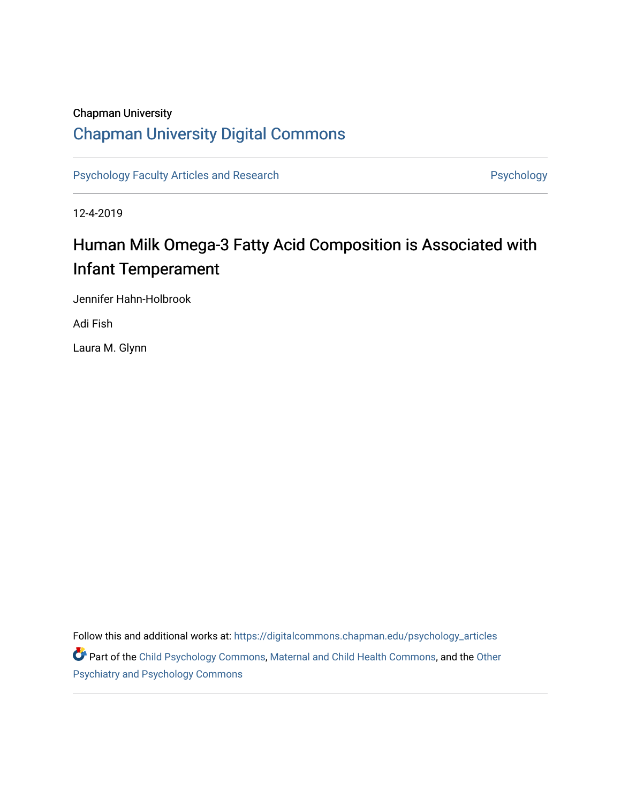# Chapman University

# [Chapman University Digital Commons](https://digitalcommons.chapman.edu/)

[Psychology Faculty Articles and Research](https://digitalcommons.chapman.edu/psychology_articles) **Psychology** Psychology

12-4-2019

# Human Milk Omega-3 Fatty Acid Composition is Associated with Infant Temperament

Jennifer Hahn-Holbrook

Adi Fish

Laura M. Glynn

Follow this and additional works at: [https://digitalcommons.chapman.edu/psychology\\_articles](https://digitalcommons.chapman.edu/psychology_articles?utm_source=digitalcommons.chapman.edu%2Fpsychology_articles%2F201&utm_medium=PDF&utm_campaign=PDFCoverPages) Part of the [Child Psychology Commons,](http://network.bepress.com/hgg/discipline/1023?utm_source=digitalcommons.chapman.edu%2Fpsychology_articles%2F201&utm_medium=PDF&utm_campaign=PDFCoverPages) [Maternal and Child Health Commons](http://network.bepress.com/hgg/discipline/745?utm_source=digitalcommons.chapman.edu%2Fpsychology_articles%2F201&utm_medium=PDF&utm_campaign=PDFCoverPages), and the [Other](http://network.bepress.com/hgg/discipline/992?utm_source=digitalcommons.chapman.edu%2Fpsychology_articles%2F201&utm_medium=PDF&utm_campaign=PDFCoverPages) [Psychiatry and Psychology Commons](http://network.bepress.com/hgg/discipline/992?utm_source=digitalcommons.chapman.edu%2Fpsychology_articles%2F201&utm_medium=PDF&utm_campaign=PDFCoverPages)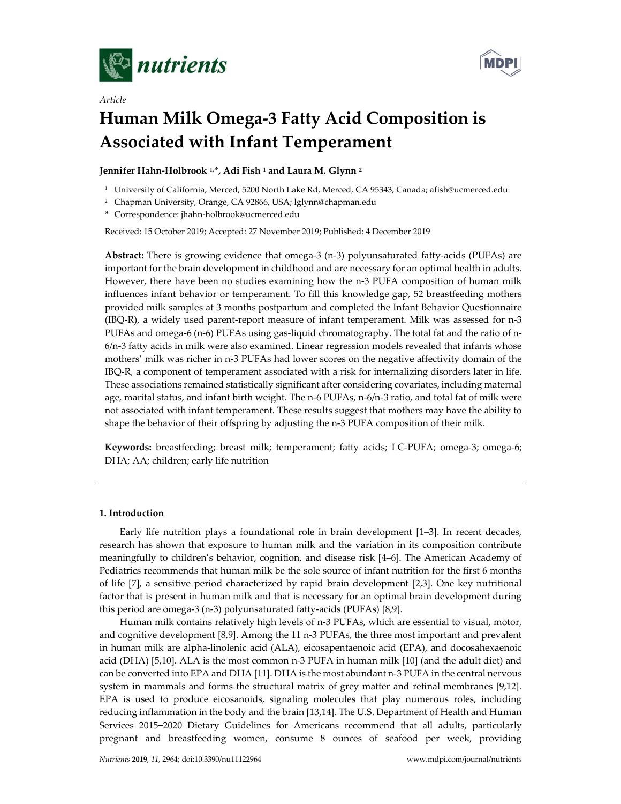

*Article*



# **Human Milk Omega-3 Fatty Acid Composition is Associated with Infant Temperament**

**Jennifer Hahn-Holbrook 1,\*, Adi Fish 1 and Laura M. Glynn 2**

- <sup>1</sup> University of California, Merced, 5200 North Lake Rd, Merced, CA 95343, Canada; afish@ucmerced.edu
- <sup>2</sup> Chapman University, Orange, CA 92866, USA; lglynn@chapman.edu
- **\*** Correspondence: jhahn-holbrook@ucmerced.edu

Received: 15 October 2019; Accepted: 27 November 2019; Published: 4 December 2019

**Abstract:** There is growing evidence that omega-3 (n-3) polyunsaturated fatty-acids (PUFAs) are important for the brain development in childhood and are necessary for an optimal health in adults. However, there have been no studies examining how the n-3 PUFA composition of human milk influences infant behavior or temperament. To fill this knowledge gap, 52 breastfeeding mothers provided milk samples at 3 months postpartum and completed the Infant Behavior Questionnaire (IBQ-R), a widely used parent-report measure of infant temperament. Milk was assessed for n-3 PUFAs and omega-6 (n-6) PUFAs using gas-liquid chromatography. The total fat and the ratio of n-6/n-3 fatty acids in milk were also examined. Linear regression models revealed that infants whose mothers' milk was richer in n-3 PUFAs had lower scores on the negative affectivity domain of the IBQ-R, a component of temperament associated with a risk for internalizing disorders later in life. These associations remained statistically significant after considering covariates, including maternal age, marital status, and infant birth weight. The n-6 PUFAs, n-6/n-3 ratio, and total fat of milk were not associated with infant temperament. These results suggest that mothers may have the ability to shape the behavior of their offspring by adjusting the n-3 PUFA composition of their milk.

**Keywords:** breastfeeding; breast milk; temperament; fatty acids; LC-PUFA; omega-3; omega-6; DHA; AA; children; early life nutrition

# **1. Introduction**

Early life nutrition plays a foundational role in brain development [1–3]. In recent decades, research has shown that exposure to human milk and the variation in its composition contribute meaningfully to children's behavior, cognition, and disease risk [4–6]. The American Academy of Pediatrics recommends that human milk be the sole source of infant nutrition for the first 6 months of life [7], a sensitive period characterized by rapid brain development [2,3]. One key nutritional factor that is present in human milk and that is necessary for an optimal brain development during this period are omega-3 (n-3) polyunsaturated fatty-acids (PUFAs) [8,9].

Human milk contains relatively high levels of n-3 PUFAs, which are essential to visual, motor, and cognitive development [8,9]. Among the 11 n-3 PUFAs, the three most important and prevalent in human milk are alpha-linolenic acid (ALA), eicosapentaenoic acid (EPA), and docosahexaenoic acid (DHA) [5,10]. ALA is the most common n-3 PUFA in human milk [10] (and the adult diet) and can be converted into EPA and DHA [11]. DHA is the most abundant n-3 PUFA in the central nervous system in mammals and forms the structural matrix of grey matter and retinal membranes [9,12]. EPA is used to produce eicosanoids, signaling molecules that play numerous roles, including reducing inflammation in the body and the brain [13,14]. The U.S. Department of Health and Human Services 2015−2020 Dietary Guidelines for Americans recommend that all adults, particularly pregnant and breastfeeding women, consume 8 ounces of seafood per week, providing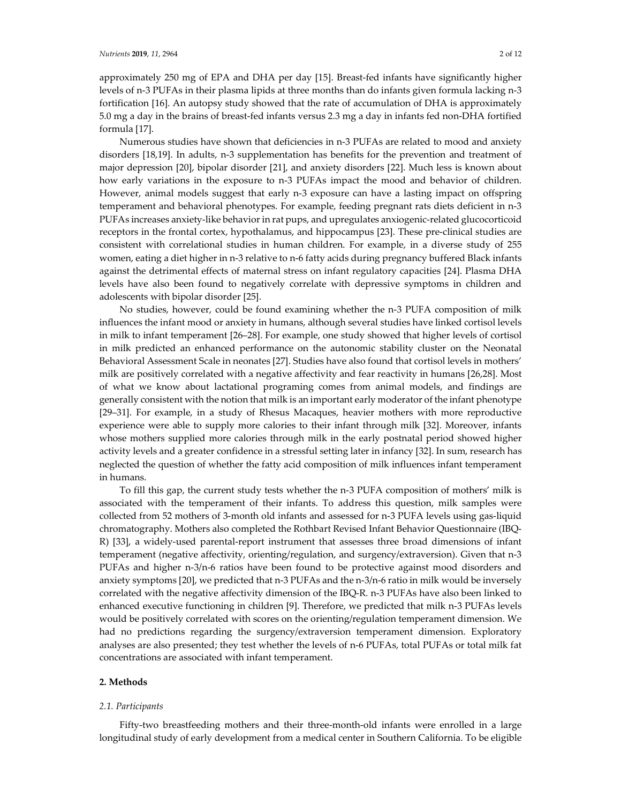#### *Nutrients* **2019**, *11*, 2964 2 of 12

approximately 250 mg of EPA and DHA per day [15]. Breast-fed infants have significantly higher levels of n-3 PUFAs in their plasma lipids at three months than do infants given formula lacking n-3 fortification [16]. An autopsy study showed that the rate of accumulation of DHA is approximately 5.0 mg a day in the brains of breast-fed infants versus 2.3 mg a day in infants fed non-DHA fortified formula [17].

Numerous studies have shown that deficiencies in n-3 PUFAs are related to mood and anxiety disorders [18,19]. In adults, n-3 supplementation has benefits for the prevention and treatment of major depression [20], bipolar disorder [21], and anxiety disorders [22]. Much less is known about how early variations in the exposure to n-3 PUFAs impact the mood and behavior of children. However, animal models suggest that early n-3 exposure can have a lasting impact on offspring temperament and behavioral phenotypes. For example, feeding pregnant rats diets deficient in n-3 PUFAs increases anxiety-like behavior in rat pups, and upregulates anxiogenic-related glucocorticoid receptors in the frontal cortex, hypothalamus, and hippocampus [23]. These pre-clinical studies are consistent with correlational studies in human children. For example, in a diverse study of 255 women, eating a diet higher in n-3 relative to n-6 fatty acids during pregnancy buffered Black infants against the detrimental effects of maternal stress on infant regulatory capacities [24]. Plasma DHA levels have also been found to negatively correlate with depressive symptoms in children and adolescents with bipolar disorder [25].

No studies, however, could be found examining whether the n-3 PUFA composition of milk influences the infant mood or anxiety in humans, although several studies have linked cortisol levels in milk to infant temperament [26–28]. For example, one study showed that higher levels of cortisol in milk predicted an enhanced performance on the autonomic stability cluster on the Neonatal Behavioral Assessment Scale in neonates [27]. Studies have also found that cortisol levels in mothers' milk are positively correlated with a negative affectivity and fear reactivity in humans [26,28]. Most of what we know about lactational programing comes from animal models, and findings are generally consistent with the notion that milk is an important early moderator of the infant phenotype [29–31]. For example, in a study of Rhesus Macaques, heavier mothers with more reproductive experience were able to supply more calories to their infant through milk [32]. Moreover, infants whose mothers supplied more calories through milk in the early postnatal period showed higher activity levels and a greater confidence in a stressful setting later in infancy [32]. In sum, research has neglected the question of whether the fatty acid composition of milk influences infant temperament in humans.

To fill this gap, the current study tests whether the n-3 PUFA composition of mothers' milk is associated with the temperament of their infants. To address this question, milk samples were collected from 52 mothers of 3-month old infants and assessed for n-3 PUFA levels using gas-liquid chromatography. Mothers also completed the Rothbart Revised Infant Behavior Questionnaire (IBQ-R) [33], a widely-used parental-report instrument that assesses three broad dimensions of infant temperament (negative affectivity, orienting/regulation, and surgency/extraversion). Given that n-3 PUFAs and higher n-3/n-6 ratios have been found to be protective against mood disorders and anxiety symptoms [20], we predicted that n-3 PUFAs and the n-3/n-6 ratio in milk would be inversely correlated with the negative affectivity dimension of the IBQ-R. n-3 PUFAs have also been linked to enhanced executive functioning in children [9]. Therefore, we predicted that milk n-3 PUFAs levels would be positively correlated with scores on the orienting/regulation temperament dimension. We had no predictions regarding the surgency/extraversion temperament dimension. Exploratory analyses are also presented; they test whether the levels of n-6 PUFAs, total PUFAs or total milk fat concentrations are associated with infant temperament.

# **2. Methods**

### *2.1. Participants*

Fifty-two breastfeeding mothers and their three-month-old infants were enrolled in a large longitudinal study of early development from a medical center in Southern California. To be eligible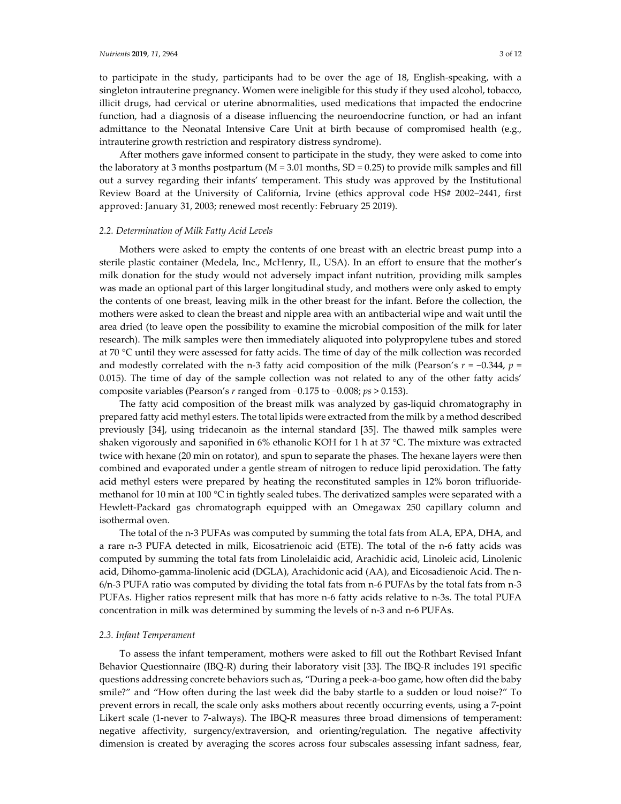to participate in the study, participants had to be over the age of 18, English-speaking, with a singleton intrauterine pregnancy. Women were ineligible for this study if they used alcohol, tobacco, illicit drugs, had cervical or uterine abnormalities, used medications that impacted the endocrine function, had a diagnosis of a disease influencing the neuroendocrine function, or had an infant admittance to the Neonatal Intensive Care Unit at birth because of compromised health (e.g., intrauterine growth restriction and respiratory distress syndrome).

After mothers gave informed consent to participate in the study, they were asked to come into the laboratory at 3 months postpartum ( $M = 3.01$  months,  $SD = 0.25$ ) to provide milk samples and fill out a survey regarding their infants' temperament. This study was approved by the Institutional Review Board at the University of California, Irvine (ethics approval code HS# 2002−2441, first approved: January 31, 2003; renewed most recently: February 25 2019).

# *2.2. Determination of Milk Fatty Acid Levels*

Mothers were asked to empty the contents of one breast with an electric breast pump into a sterile plastic container (Medela, Inc., McHenry, IL, USA). In an effort to ensure that the mother's milk donation for the study would not adversely impact infant nutrition, providing milk samples was made an optional part of this larger longitudinal study, and mothers were only asked to empty the contents of one breast, leaving milk in the other breast for the infant. Before the collection, the mothers were asked to clean the breast and nipple area with an antibacterial wipe and wait until the area dried (to leave open the possibility to examine the microbial composition of the milk for later research). The milk samples were then immediately aliquoted into polypropylene tubes and stored at 70 °C until they were assessed for fatty acids. The time of day of the milk collection was recorded and modestly correlated with the n-3 fatty acid composition of the milk (Pearson's  $r = -0.344$ ,  $p =$ 0.015). The time of day of the sample collection was not related to any of the other fatty acids' composite variables (Pearson's *r* ranged from −0.175 to −0.008; *ps* > 0.153).

The fatty acid composition of the breast milk was analyzed by gas-liquid chromatography in prepared fatty acid methyl esters. The total lipids were extracted from the milk by a method described previously [34], using tridecanoin as the internal standard [35]. The thawed milk samples were shaken vigorously and saponified in 6% ethanolic KOH for 1 h at 37 °C. The mixture was extracted twice with hexane (20 min on rotator), and spun to separate the phases. The hexane layers were then combined and evaporated under a gentle stream of nitrogen to reduce lipid peroxidation. The fatty acid methyl esters were prepared by heating the reconstituted samples in 12% boron trifluoridemethanol for 10 min at 100 °C in tightly sealed tubes. The derivatized samples were separated with a Hewlett-Packard gas chromatograph equipped with an Omegawax 250 capillary column and isothermal oven.

The total of the n-3 PUFAs was computed by summing the total fats from ALA, EPA, DHA, and a rare n-3 PUFA detected in milk, Eicosatrienoic acid (ETE). The total of the n-6 fatty acids was computed by summing the total fats from Linolelaidic acid, Arachidic acid, Linoleic acid, Linolenic acid, Dihomo-gamma-linolenic acid (DGLA), Arachidonic acid (AA), and Eicosadienoic Acid. The n-6/n-3 PUFA ratio was computed by dividing the total fats from n-6 PUFAs by the total fats from n-3 PUFAs. Higher ratios represent milk that has more n-6 fatty acids relative to n-3s. The total PUFA concentration in milk was determined by summing the levels of n-3 and n-6 PUFAs.

# *2.3. Infant Temperament*

To assess the infant temperament, mothers were asked to fill out the Rothbart Revised Infant Behavior Questionnaire (IBQ-R) during their laboratory visit [33]. The IBQ-R includes 191 specific questions addressing concrete behaviors such as, "During a peek-a-boo game, how often did the baby smile?" and "How often during the last week did the baby startle to a sudden or loud noise?" To prevent errors in recall, the scale only asks mothers about recently occurring events, using a 7-point Likert scale (1-never to 7-always). The IBQ-R measures three broad dimensions of temperament: negative affectivity, surgency/extraversion, and orienting/regulation. The negative affectivity dimension is created by averaging the scores across four subscales assessing infant sadness, fear,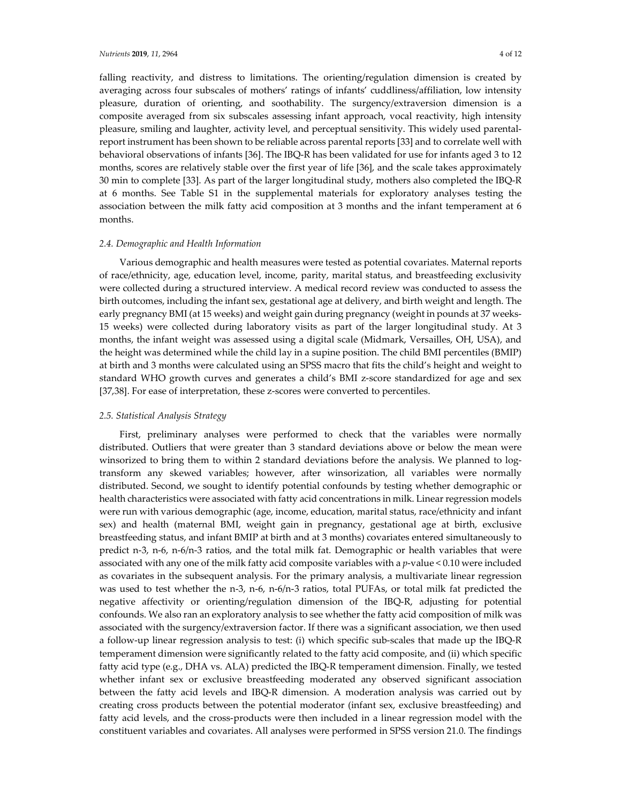falling reactivity, and distress to limitations. The orienting/regulation dimension is created by averaging across four subscales of mothers' ratings of infants' cuddliness/affiliation, low intensity pleasure, duration of orienting, and soothability. The surgency/extraversion dimension is a composite averaged from six subscales assessing infant approach, vocal reactivity, high intensity pleasure, smiling and laughter, activity level, and perceptual sensitivity. This widely used parentalreport instrument has been shown to be reliable across parental reports [33] and to correlate well with behavioral observations of infants [36]. The IBQ-R has been validated for use for infants aged 3 to 12 months, scores are relatively stable over the first year of life [36], and the scale takes approximately 30 min to complete [33]. As part of the larger longitudinal study, mothers also completed the IBQ-R at 6 months. See Table S1 in the supplemental materials for exploratory analyses testing the association between the milk fatty acid composition at 3 months and the infant temperament at 6 months.

### *2.4. Demographic and Health Information*

Various demographic and health measures were tested as potential covariates. Maternal reports of race/ethnicity, age, education level, income, parity, marital status, and breastfeeding exclusivity were collected during a structured interview. A medical record review was conducted to assess the birth outcomes, including the infant sex, gestational age at delivery, and birth weight and length. The early pregnancy BMI (at 15 weeks) and weight gain during pregnancy (weight in pounds at 37 weeks-15 weeks) were collected during laboratory visits as part of the larger longitudinal study. At 3 months, the infant weight was assessed using a digital scale (Midmark, Versailles, OH, USA), and the height was determined while the child lay in a supine position. The child BMI percentiles (BMIP) at birth and 3 months were calculated using an SPSS macro that fits the child's height and weight to standard WHO growth curves and generates a child's BMI z-score standardized for age and sex [37,38]. For ease of interpretation, these z-scores were converted to percentiles.

# *2.5. Statistical Analysis Strategy*

First, preliminary analyses were performed to check that the variables were normally distributed. Outliers that were greater than 3 standard deviations above or below the mean were winsorized to bring them to within 2 standard deviations before the analysis. We planned to logtransform any skewed variables; however, after winsorization, all variables were normally distributed. Second, we sought to identify potential confounds by testing whether demographic or health characteristics were associated with fatty acid concentrations in milk. Linear regression models were run with various demographic (age, income, education, marital status, race/ethnicity and infant sex) and health (maternal BMI, weight gain in pregnancy, gestational age at birth, exclusive breastfeeding status, and infant BMIP at birth and at 3 months) covariates entered simultaneously to predict n-3, n-6, n-6/n-3 ratios, and the total milk fat. Demographic or health variables that were associated with any one of the milk fatty acid composite variables with a *p*-value < 0.10 were included as covariates in the subsequent analysis. For the primary analysis, a multivariate linear regression was used to test whether the n-3, n-6, n-6/n-3 ratios, total PUFAs, or total milk fat predicted the negative affectivity or orienting/regulation dimension of the IBQ-R, adjusting for potential confounds. We also ran an exploratory analysis to see whether the fatty acid composition of milk was associated with the surgency/extraversion factor. If there was a significant association, we then used a follow-up linear regression analysis to test: (i) which specific sub-scales that made up the IBQ-R temperament dimension were significantly related to the fatty acid composite, and (ii) which specific fatty acid type (e.g., DHA vs. ALA) predicted the IBQ-R temperament dimension. Finally, we tested whether infant sex or exclusive breastfeeding moderated any observed significant association between the fatty acid levels and IBQ-R dimension. A moderation analysis was carried out by creating cross products between the potential moderator (infant sex, exclusive breastfeeding) and fatty acid levels, and the cross-products were then included in a linear regression model with the constituent variables and covariates. All analyses were performed in SPSS version 21.0. The findings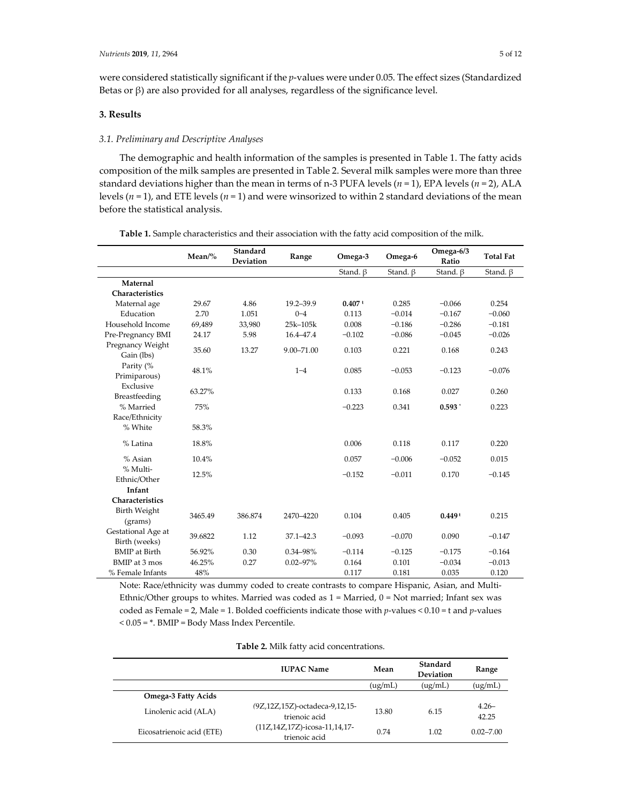were considered statistically significant if the *p*-values were under 0.05. The effect sizes (Standardized Betas or  $β$ ) are also provided for all analyses, regardless of the significance level.

# **3. Results**

# *3.1. Preliminary and Descriptive Analyses*

The demographic and health information of the samples is presented in Table 1. The fatty acids composition of the milk samples are presented in Table 2. Several milk samples were more than three standard deviations higher than the mean in terms of n-3 PUFA levels ( $n = 1$ ), EPA levels ( $n = 2$ ), ALA levels  $(n = 1)$ , and ETE levels  $(n = 1)$  and were winsorized to within 2 standard deviations of the mean before the statistical analysis.

|                                     | $Mean\%$ | Standard<br><b>Deviation</b> | Range          | Omega-3              | Omega-6        | Omega-6/3<br>Ratio | <b>Total Fat</b> |
|-------------------------------------|----------|------------------------------|----------------|----------------------|----------------|--------------------|------------------|
|                                     |          |                              |                | Stand, $\beta$       | Stand, $\beta$ | Stand. $\beta$     | Stand. $\beta$   |
| Maternal                            |          |                              |                |                      |                |                    |                  |
| Characteristics                     |          |                              |                |                      |                |                    |                  |
| Maternal age                        | 29.67    | 4.86                         | 19.2-39.9      | $0.407$ <sup>t</sup> | 0.285          | $-0.066$           | 0.254            |
| Education                           | 2.70     | 1.051                        | $0 - 4$        | 0.113                | $-0.014$       | $-0.167$           | $-0.060$         |
| Household Income                    | 69,489   | 33,980                       | 25k-105k       | 0.008                | $-0.186$       | $-0.286$           | $-0.181$         |
| Pre-Pregnancy BMI                   | 24.17    | 5.98                         | 16.4-47.4      | $-0.102$             | $-0.086$       | $-0.045$           | $-0.026$         |
| Pregnancy Weight<br>Gain (lbs)      | 35.60    | 13.27                        | $9.00 - 71.00$ | 0.103                | 0.221          | 0.168              | 0.243            |
| Parity (%<br>Primiparous)           | 48.1%    |                              | $1 - 4$        | 0.085                | $-0.053$       | $-0.123$           | $-0.076$         |
| Exclusive<br>Breastfeeding          | 63.27%   |                              |                | 0.133                | 0.168          | 0.027              | 0.260            |
| % Married                           | 75%      |                              |                | $-0.223$             | 0.341          | $0.593*$           | 0.223            |
| Race/Ethnicity                      |          |                              |                |                      |                |                    |                  |
| % White                             | 58.3%    |                              |                |                      |                |                    |                  |
| % Latina                            | 18.8%    |                              |                | 0.006                | 0.118          | 0.117              | 0.220            |
| % Asian                             | 10.4%    |                              |                | 0.057                | $-0.006$       | $-0.052$           | 0.015            |
| % Multi-<br>Ethnic/Other            | 12.5%    |                              |                | $-0.152$             | $-0.011$       | 0.170              | $-0.145$         |
| Infant                              |          |                              |                |                      |                |                    |                  |
| Characteristics                     |          |                              |                |                      |                |                    |                  |
| Birth Weight<br>(grams)             | 3465.49  | 386.874                      | 2470-4220      | 0.104                | 0.405          | $0.449 +$          | 0.215            |
| Gestational Age at<br>Birth (weeks) | 39.6822  | 1.12                         | $37.1 - 42.3$  | $-0.093$             | $-0.070$       | 0.090              | $-0.147$         |
| <b>BMIP</b> at Birth                | 56.92%   | 0.30                         | $0.34 - 98\%$  | $-0.114$             | $-0.125$       | $-0.175$           | $-0.164$         |
| BMIP at 3 mos                       | 46.25%   | 0.27                         | $0.02 - 97\%$  | 0.164                | 0.101          | $-0.034$           | $-0.013$         |
| % Female Infants                    | 48%      |                              |                | 0.117                | 0.181          | 0.035              | 0.120            |

**Table 1.** Sample characteristics and their association with the fatty acid composition of the milk.

Note: Race/ethnicity was dummy coded to create contrasts to compare Hispanic, Asian, and Multi-Ethnic/Other groups to whites. Married was coded as  $1 =$  Married,  $0 =$  Not married; Infant sex was coded as Female = 2, Male = 1. Bolded coefficients indicate those with *p*-values < 0.10 = t and *p*-values < 0.05 = \*. BMIP = Body Mass Index Percentile.

| <b>Table 2.</b> Milk fatty acid concentrations. |  |
|-------------------------------------------------|--|
|-------------------------------------------------|--|

|                            | <b>IUPAC Name</b>                               | Mean    | Standard<br>Deviation | Range             |
|----------------------------|-------------------------------------------------|---------|-----------------------|-------------------|
|                            |                                                 | (ug/mL) | (ug/mL)               | (ug/mL)           |
| <b>Omega-3 Fatty Acids</b> |                                                 |         |                       |                   |
| Linolenic acid (ALA)       | (9Z,12Z,15Z)-octadeca-9,12,15-<br>trienoic acid | 13.80   | 6.15                  | $4.26 -$<br>42.25 |
| Eicosatrienoic acid (ETE)  | (11Z,14Z,17Z)-icosa-11,14,17-<br>trienoic acid  | 0.74    | 1.02                  | $0.02 - 7.00$     |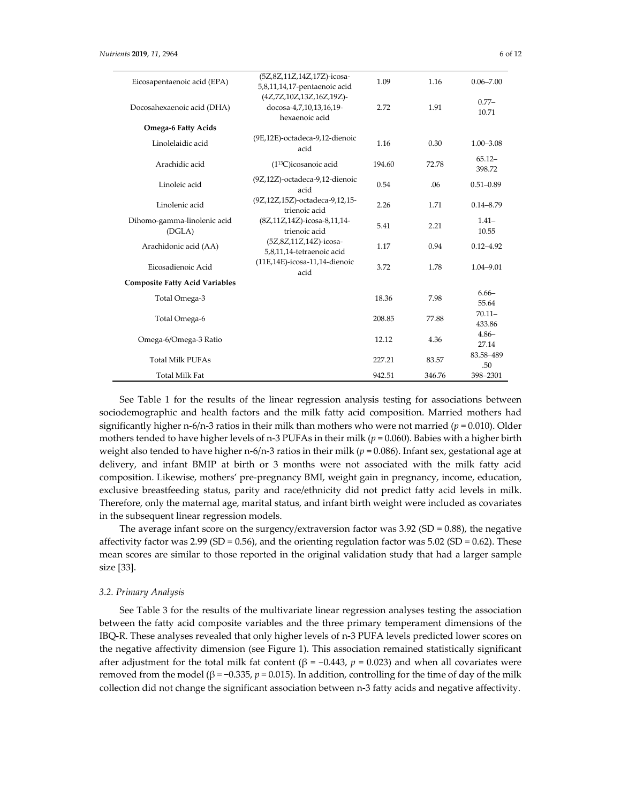| Eicosapentaenoic acid (EPA)           | (5Z,8Z,11Z,14Z,17Z)-icosa-                          | 1.09   | 1.16   | $0.06 - 7.00$       |
|---------------------------------------|-----------------------------------------------------|--------|--------|---------------------|
|                                       | 5,8,11,14,17-pentaenoic acid                        |        |        |                     |
| Docosahexaenoic acid (DHA)            | (4Z,7Z,10Z,13Z,16Z,19Z)-<br>docosa-4,7,10,13,16,19- | 2.72   | 1.91   | $0.77-$             |
|                                       | hexaenoic acid                                      |        |        | 10.71               |
| <b>Omega-6 Fatty Acids</b>            |                                                     |        |        |                     |
| Linolelaidic acid                     | (9E,12E)-octadeca-9,12-dienoic<br>acid              | 1.16   | 0.30   | $1.00 - 3.08$       |
| Arachidic acid                        | (1 <sup>13</sup> C)icosanoic acid                   | 194.60 | 72.78  | $65.12 -$<br>398.72 |
| Linoleic acid                         | (9Z,12Z)-octadeca-9,12-dienoic<br>acid              | 0.54   | .06    | $0.51 - 0.89$       |
| Linolenic acid                        | (9Z,12Z,15Z)-octadeca-9,12,15-<br>trienoic acid     | 2.26   | 1.71   | $0.14 - 8.79$       |
| Dihomo-gamma-linolenic acid<br>(DGLA) | (8Z,11Z,14Z)-icosa-8,11,14-<br>trienoic acid        | 5.41   | 2.21   | $1.41-$<br>10.55    |
|                                       | (5Z,8Z,11Z,14Z)-icosa-                              |        |        |                     |
| Arachidonic acid (AA)                 | 5,8,11,14-tetraenoic acid                           | 1.17   | 0.94   | $0.12 - 4.92$       |
| Eicosadienoic Acid                    | (11E,14E)-icosa-11,14-dienoic<br>acid               | 3.72   | 1.78   | 1.04-9.01           |
| <b>Composite Fatty Acid Variables</b> |                                                     |        |        |                     |
| Total Omega-3                         |                                                     | 18.36  | 7.98   | $6.66 -$<br>55.64   |
| Total Omega-6                         |                                                     | 208.85 | 77.88  | $70.11 -$<br>433.86 |
|                                       |                                                     |        |        | $4.86 -$            |
| Omega-6/Omega-3 Ratio                 |                                                     | 12.12  | 4.36   | 27.14               |
|                                       |                                                     |        |        | 83.58-489           |
| <b>Total Milk PUFAs</b>               |                                                     | 227.21 | 83.57  | .50                 |
| <b>Total Milk Fat</b>                 |                                                     | 942.51 | 346.76 | 398-2301            |

See Table 1 for the results of the linear regression analysis testing for associations between sociodemographic and health factors and the milk fatty acid composition. Married mothers had significantly higher n-6/n-3 ratios in their milk than mothers who were not married ( $p = 0.010$ ). Older mothers tended to have higher levels of n-3 PUFAs in their milk ( $p = 0.060$ ). Babies with a higher birth weight also tended to have higher n-6/n-3 ratios in their milk (*p* = 0.086). Infant sex, gestational age at delivery, and infant BMIP at birth or 3 months were not associated with the milk fatty acid composition. Likewise, mothers' pre-pregnancy BMI, weight gain in pregnancy, income, education, exclusive breastfeeding status, parity and race/ethnicity did not predict fatty acid levels in milk. Therefore, only the maternal age, marital status, and infant birth weight were included as covariates in the subsequent linear regression models.

The average infant score on the surgency/extraversion factor was  $3.92$  (SD = 0.88), the negative affectivity factor was  $2.99$  (SD = 0.56), and the orienting regulation factor was  $5.02$  (SD = 0.62). These mean scores are similar to those reported in the original validation study that had a larger sample size [33].

# *3.2. Primary Analysis*

See Table 3 for the results of the multivariate linear regression analyses testing the association between the fatty acid composite variables and the three primary temperament dimensions of the IBQ-R. These analyses revealed that only higher levels of n-3 PUFA levels predicted lower scores on the negative affectivity dimension (see Figure 1). This association remained statistically significant after adjustment for the total milk fat content (β = -0.443,  $p = 0.023$ ) and when all covariates were removed from the model (β = -0.335,  $p$  = 0.015). In addition, controlling for the time of day of the milk collection did not change the significant association between n-3 fatty acids and negative affectivity.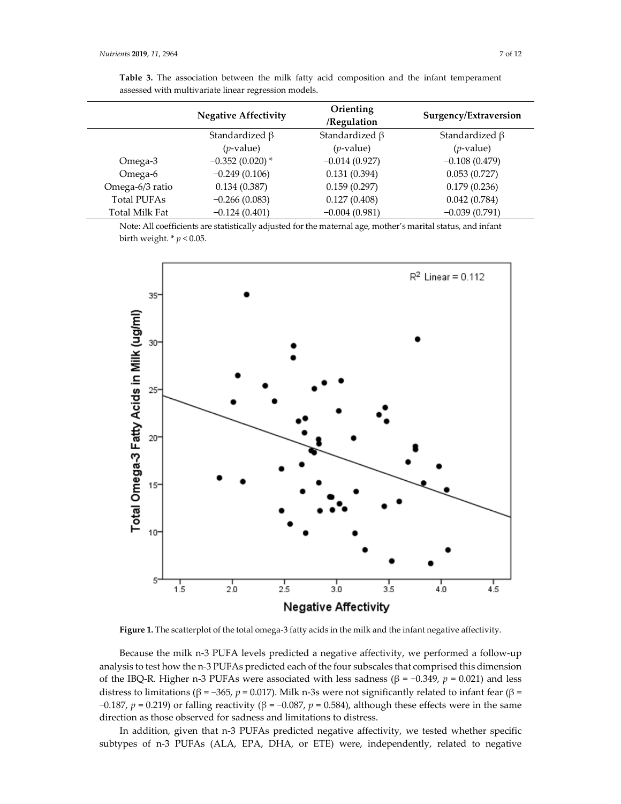| <u>woodood waar maart wratte middle regression models.</u> |                             |                          |                       |  |  |
|------------------------------------------------------------|-----------------------------|--------------------------|-----------------------|--|--|
|                                                            | <b>Negative Affectivity</b> | Orienting<br>/Regulation | Surgency/Extraversion |  |  |
|                                                            | Standardized $\beta$        | Standardized $\beta$     | Standardized $\beta$  |  |  |
|                                                            | $(p$ -value)                | $(p$ -value)             | $(p$ -value)          |  |  |
| Omega-3                                                    | $-0.352(0.020)$ *           | $-0.014(0.927)$          | $-0.108(0.479)$       |  |  |
| Omega-6                                                    | $-0.249(0.106)$             | 0.131(0.394)             | 0.053(0.727)          |  |  |
| Omega-6/3 ratio                                            | 0.134(0.387)                | 0.159(0.297)             | 0.179(0.236)          |  |  |
| <b>Total PUFAs</b>                                         | $-0.266(0.083)$             | 0.127(0.408)             | 0.042(0.784)          |  |  |
| Total Milk Fat                                             | $-0.124(0.401)$             | $-0.004(0.981)$          | $-0.039(0.791)$       |  |  |

**Table 3.** The association between the milk fatty acid composition and the infant temperament assessed with multivariate linear regression models.

Note: All coefficients are statistically adjusted for the maternal age, mother's marital status, and infant birth weight. \* *p* < 0.05.



**Figure 1.** The scatterplot of the total omega-3 fatty acids in the milk and the infant negative affectivity.

Because the milk n-3 PUFA levels predicted a negative affectivity, we performed a follow-up analysis to test how the n-3 PUFAs predicted each of the four subscales that comprised this dimension of the IBQ-R. Higher n-3 PUFAs were associated with less sadness (β = −0.349, *p* = 0.021) and less distress to limitations (β = -365, p = 0.017). Milk n-3s were not significantly related to infant fear (β = −0.187, *p* = 0.219) or falling reactivity (β = −0.087, *p* = 0.584), although these effects were in the same direction as those observed for sadness and limitations to distress.

In addition, given that n-3 PUFAs predicted negative affectivity, we tested whether specific subtypes of n-3 PUFAs (ALA, EPA, DHA, or ETE) were, independently, related to negative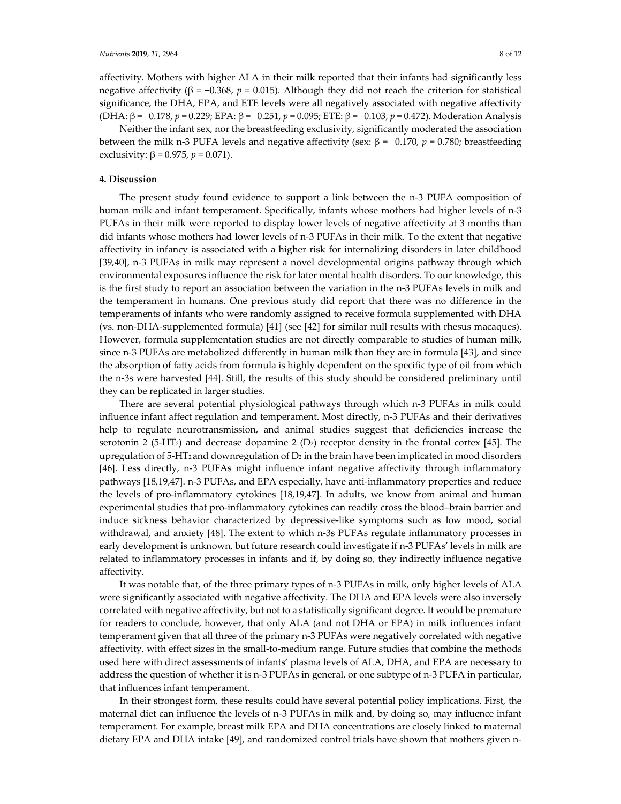affectivity. Mothers with higher ALA in their milk reported that their infants had significantly less negative affectivity (β = -0.368,  $p$  = 0.015). Although they did not reach the criterion for statistical significance, the DHA, EPA, and ETE levels were all negatively associated with negative affectivity (DHA: β = −0.178, *p* = 0.229; EPA: β = −0.251, *p* = 0.095; ETE: β = −0.103, *p* = 0.472). Moderation Analysis

Neither the infant sex, nor the breastfeeding exclusivity, significantly moderated the association between the milk n-3 PUFA levels and negative affectivity (sex: β = −0.170, *p* = 0.780; breastfeeding exclusivity:  $β = 0.975, p = 0.071$ .

# **4. Discussion**

The present study found evidence to support a link between the n-3 PUFA composition of human milk and infant temperament. Specifically, infants whose mothers had higher levels of n-3 PUFAs in their milk were reported to display lower levels of negative affectivity at 3 months than did infants whose mothers had lower levels of n-3 PUFAs in their milk. To the extent that negative affectivity in infancy is associated with a higher risk for internalizing disorders in later childhood [39,40], n-3 PUFAs in milk may represent a novel developmental origins pathway through which environmental exposures influence the risk for later mental health disorders. To our knowledge, this is the first study to report an association between the variation in the n-3 PUFAs levels in milk and the temperament in humans. One previous study did report that there was no difference in the temperaments of infants who were randomly assigned to receive formula supplemented with DHA (vs. non-DHA-supplemented formula) [41] (see [42] for similar null results with rhesus macaques). However, formula supplementation studies are not directly comparable to studies of human milk, since n-3 PUFAs are metabolized differently in human milk than they are in formula [43], and since the absorption of fatty acids from formula is highly dependent on the specific type of oil from which the n-3s were harvested [44]. Still, the results of this study should be considered preliminary until they can be replicated in larger studies.

There are several potential physiological pathways through which n-3 PUFAs in milk could influence infant affect regulation and temperament. Most directly, n-3 PUFAs and their derivatives help to regulate neurotransmission, and animal studies suggest that deficiencies increase the serotonin 2 (5-HT<sub>2</sub>) and decrease dopamine 2 (D<sub>2</sub>) receptor density in the frontal cortex [45]. The upregulation of  $5$ -HT<sub>2</sub> and downregulation of  $D_2$  in the brain have been implicated in mood disorders [46]. Less directly, n-3 PUFAs might influence infant negative affectivity through inflammatory pathways [18,19,47]. n-3 PUFAs, and EPA especially, have anti-inflammatory properties and reduce the levels of pro-inflammatory cytokines [18,19,47]. In adults, we know from animal and human experimental studies that pro-inflammatory cytokines can readily cross the blood–brain barrier and induce sickness behavior characterized by depressive-like symptoms such as low mood, social withdrawal, and anxiety [48]. The extent to which n-3s PUFAs regulate inflammatory processes in early development is unknown, but future research could investigate if n-3 PUFAs' levels in milk are related to inflammatory processes in infants and if, by doing so, they indirectly influence negative affectivity.

It was notable that, of the three primary types of n-3 PUFAs in milk, only higher levels of ALA were significantly associated with negative affectivity. The DHA and EPA levels were also inversely correlated with negative affectivity, but not to a statistically significant degree. It would be premature for readers to conclude, however, that only ALA (and not DHA or EPA) in milk influences infant temperament given that all three of the primary n-3 PUFAs were negatively correlated with negative affectivity, with effect sizes in the small-to-medium range. Future studies that combine the methods used here with direct assessments of infants' plasma levels of ALA, DHA, and EPA are necessary to address the question of whether it is n-3 PUFAs in general, or one subtype of n-3 PUFA in particular, that influences infant temperament.

In their strongest form, these results could have several potential policy implications. First, the maternal diet can influence the levels of n-3 PUFAs in milk and, by doing so, may influence infant temperament. For example, breast milk EPA and DHA concentrations are closely linked to maternal dietary EPA and DHA intake [49], and randomized control trials have shown that mothers given n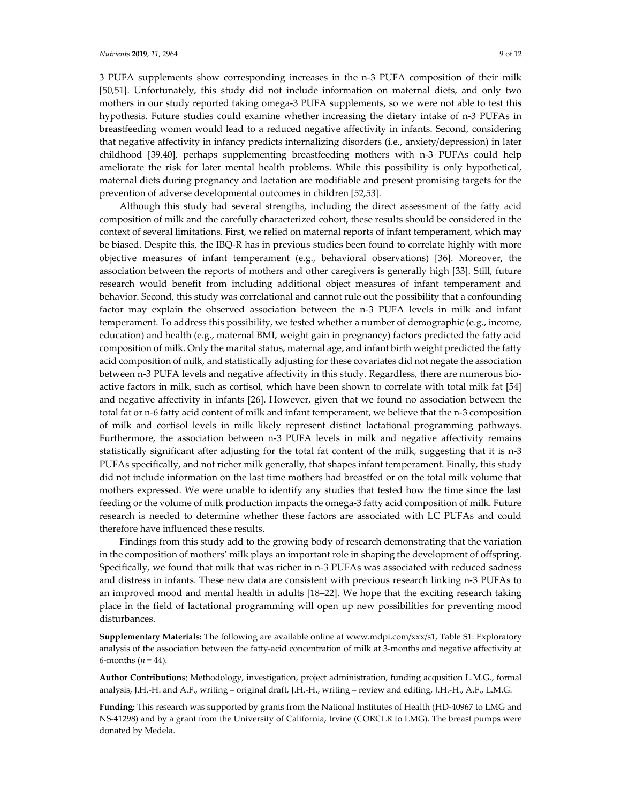3 PUFA supplements show corresponding increases in the n-3 PUFA composition of their milk [50,51]. Unfortunately, this study did not include information on maternal diets, and only two mothers in our study reported taking omega-3 PUFA supplements, so we were not able to test this hypothesis. Future studies could examine whether increasing the dietary intake of n-3 PUFAs in breastfeeding women would lead to a reduced negative affectivity in infants. Second, considering that negative affectivity in infancy predicts internalizing disorders (i.e., anxiety/depression) in later childhood [39,40], perhaps supplementing breastfeeding mothers with n-3 PUFAs could help ameliorate the risk for later mental health problems. While this possibility is only hypothetical, maternal diets during pregnancy and lactation are modifiable and present promising targets for the prevention of adverse developmental outcomes in children [52,53].

Although this study had several strengths, including the direct assessment of the fatty acid composition of milk and the carefully characterized cohort, these results should be considered in the context of several limitations. First, we relied on maternal reports of infant temperament, which may be biased. Despite this, the IBQ-R has in previous studies been found to correlate highly with more objective measures of infant temperament (e.g., behavioral observations) [36]. Moreover, the association between the reports of mothers and other caregivers is generally high [33]. Still, future research would benefit from including additional object measures of infant temperament and behavior. Second, this study was correlational and cannot rule out the possibility that a confounding factor may explain the observed association between the n-3 PUFA levels in milk and infant temperament. To address this possibility, we tested whether a number of demographic (e.g., income, education) and health (e.g., maternal BMI, weight gain in pregnancy) factors predicted the fatty acid composition of milk. Only the marital status, maternal age, and infant birth weight predicted the fatty acid composition of milk, and statistically adjusting for these covariates did not negate the association between n-3 PUFA levels and negative affectivity in this study. Regardless, there are numerous bioactive factors in milk, such as cortisol, which have been shown to correlate with total milk fat [54] and negative affectivity in infants [26]. However, given that we found no association between the total fat or n-6 fatty acid content of milk and infant temperament, we believe that the n-3 composition of milk and cortisol levels in milk likely represent distinct lactational programming pathways. Furthermore, the association between n-3 PUFA levels in milk and negative affectivity remains statistically significant after adjusting for the total fat content of the milk, suggesting that it is n-3 PUFAs specifically, and not richer milk generally, that shapes infant temperament. Finally, this study did not include information on the last time mothers had breastfed or on the total milk volume that mothers expressed. We were unable to identify any studies that tested how the time since the last feeding or the volume of milk production impacts the omega-3 fatty acid composition of milk. Future research is needed to determine whether these factors are associated with LC PUFAs and could therefore have influenced these results.

Findings from this study add to the growing body of research demonstrating that the variation in the composition of mothers' milk plays an important role in shaping the development of offspring. Specifically, we found that milk that was richer in n-3 PUFAs was associated with reduced sadness and distress in infants. These new data are consistent with previous research linking n-3 PUFAs to an improved mood and mental health in adults [18–22]. We hope that the exciting research taking place in the field of lactational programming will open up new possibilities for preventing mood disturbances.

**Supplementary Materials:** The following are available online at www.mdpi.com/xxx/s1, Table S1: Exploratory analysis of the association between the fatty-acid concentration of milk at 3-months and negative affectivity at 6-months ( $n = 44$ ).

**Author Contributions:** Methodology, investigation, project administration, funding acqusition L.M.G., formal analysis, J.H.-H. and A.F., writing – original draft, J.H.-H., writing – review and editing, J.H.-H., A.F., L.M.G.

**Funding:** This research was supported by grants from the National Institutes of Health (HD-40967 to LMG and NS-41298) and by a grant from the University of California, Irvine (CORCLR to LMG). The breast pumps were donated by Medela.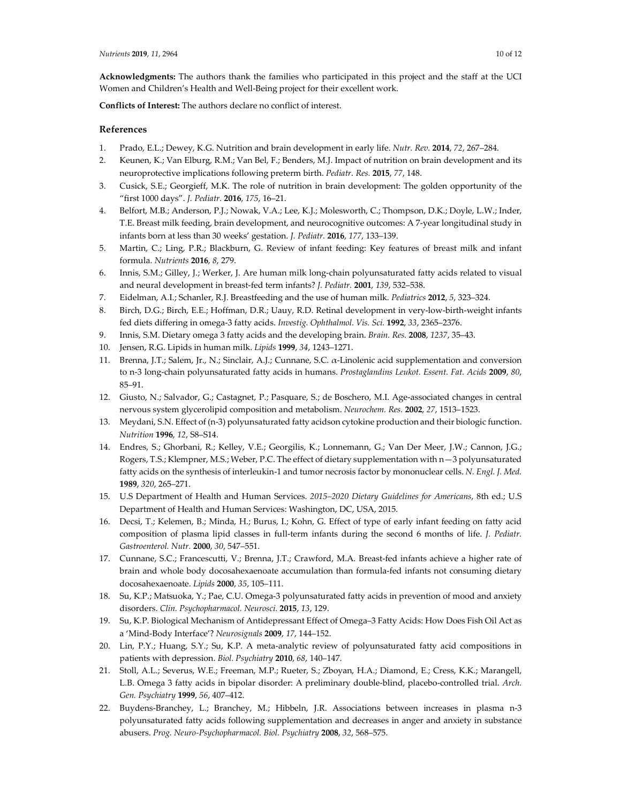**Acknowledgments:** The authors thank the families who participated in this project and the staff at the UCI Women and Children's Health and Well-Being project for their excellent work.

**Conflicts of Interest:** The authors declare no conflict of interest.

# **References**

- 1. Prado, E.L.; Dewey, K.G. Nutrition and brain development in early life. *Nutr. Rev.* **2014**, *72*, 267–284.
- 2. Keunen, K.; Van Elburg, R.M.; Van Bel, F.; Benders, M.J. Impact of nutrition on brain development and its neuroprotective implications following preterm birth. *Pediatr. Res.* **2015**, *77*, 148.
- 3. Cusick, S.E.; Georgieff, M.K. The role of nutrition in brain development: The golden opportunity of the "first 1000 days". *J. Pediatr.* **2016**, *175*, 16–21.
- 4. Belfort, M.B.; Anderson, P.J.; Nowak, V.A.; Lee, K.J.; Molesworth, C.; Thompson, D.K.; Doyle, L.W.; Inder, T.E. Breast milk feeding, brain development, and neurocognitive outcomes: A 7-year longitudinal study in infants born at less than 30 weeks' gestation. *J. Pediatr.* **2016**, *177*, 133–139.
- 5. Martin, C.; Ling, P.R.; Blackburn, G. Review of infant feeding: Key features of breast milk and infant formula. *Nutrients* **2016**, *8*, 279.
- 6. Innis, S.M.; Gilley, J.; Werker, J. Are human milk long-chain polyunsaturated fatty acids related to visual and neural development in breast-fed term infants? *J. Pediatr.* **2001**, *139*, 532–538.
- 7. Eidelman, A.I.; Schanler, R.J. Breastfeeding and the use of human milk. *Pediatrics* **2012**, *5*, 323–324.
- 8. Birch, D.G.; Birch, E.E.; Hoffman, D.R.; Uauy, R.D. Retinal development in very-low-birth-weight infants fed diets differing in omega-3 fatty acids. *Investig. Ophthalmol. Vis. Sci.* **1992**, *33*, 2365–2376.
- 9. Innis, S.M. Dietary omega 3 fatty acids and the developing brain. *Brain. Res.* **2008**, *1237*, 35–43.
- 10. Jensen, R.G. Lipids in human milk. *Lipids* **1999**, *34*, 1243–1271.
- 11. Brenna, J.T.; Salem, Jr., N.; Sinclair, A.J.; Cunnane, S.C. α-Linolenic acid supplementation and conversion to n-3 long-chain polyunsaturated fatty acids in humans. *Prostaglandins Leukot. Essent. Fat. Acids* **2009**, *80*, 85–91.
- 12. Giusto, N.; Salvador, G.; Castagnet, P.; Pasquare, S.; de Boschero, M.I. Age-associated changes in central nervous system glycerolipid composition and metabolism. *Neurochem. Res.* **2002**, *27*, 1513–1523.
- 13. Meydani, S.N. Effect of (n-3) polyunsaturated fatty acidson cytokine production and their biologic function. *Nutrition* **1996**, *12*, S8–S14.
- 14. Endres, S.; Ghorbani, R.; Kelley, V.E.; Georgilis, K.; Lonnemann, G.; Van Der Meer, J.W.; Cannon, J.G.; Rogers, T.S.; Klempner, M.S.; Weber, P.C. The effect of dietary supplementation with n—3 polyunsaturated fatty acids on the synthesis of interleukin-1 and tumor necrosis factor by mononuclear cells. *N. Engl. J. Med.*  **1989**, *320*, 265–271.
- 15. U.S Department of Health and Human Services. *2015–2020 Dietary Guidelines for Americans*, 8th ed.; U.S Department of Health and Human Services: Washington, DC, USA, 2015.
- 16. Decsi, T.; Kelemen, B.; Minda, H.; Burus, I.; Kohn, G. Effect of type of early infant feeding on fatty acid composition of plasma lipid classes in full-term infants during the second 6 months of life. *J. Pediatr. Gastroenterol. Nutr.* **2000**, *30*, 547–551.
- 17. Cunnane, S.C.; Francescutti, V.; Brenna, J.T.; Crawford, M.A. Breast-fed infants achieve a higher rate of brain and whole body docosahexaenoate accumulation than formula-fed infants not consuming dietary docosahexaenoate. *Lipids* **2000**, *35*, 105–111.
- 18. Su, K.P.; Matsuoka, Y.; Pae, C.U. Omega-3 polyunsaturated fatty acids in prevention of mood and anxiety disorders. *Clin. Psychopharmacol. Neurosci.* **2015**, *13*, 129.
- 19. Su, K.P. Biological Mechanism of Antidepressant Effect of Omega–3 Fatty Acids: How Does Fish Oil Act as a 'Mind-Body Interface'? *Neurosignals* **2009**, *17*, 144–152.
- 20. Lin, P.Y.; Huang, S.Y.; Su, K.P. A meta-analytic review of polyunsaturated fatty acid compositions in patients with depression. *Biol. Psychiatry* **2010**, *68*, 140–147.
- 21. Stoll, A.L.; Severus, W.E.; Freeman, M.P.; Rueter, S.; Zboyan, H.A.; Diamond, E.; Cress, K.K.; Marangell, L.B. Omega 3 fatty acids in bipolar disorder: A preliminary double-blind, placebo-controlled trial. *Arch. Gen. Psychiatry* **1999**, *56*, 407–412.
- 22. Buydens-Branchey, L.; Branchey, M.; Hibbeln, J.R. Associations between increases in plasma n-3 polyunsaturated fatty acids following supplementation and decreases in anger and anxiety in substance abusers. *Prog. Neuro-Psychopharmacol. Biol. Psychiatry* **2008**, *32*, 568–575.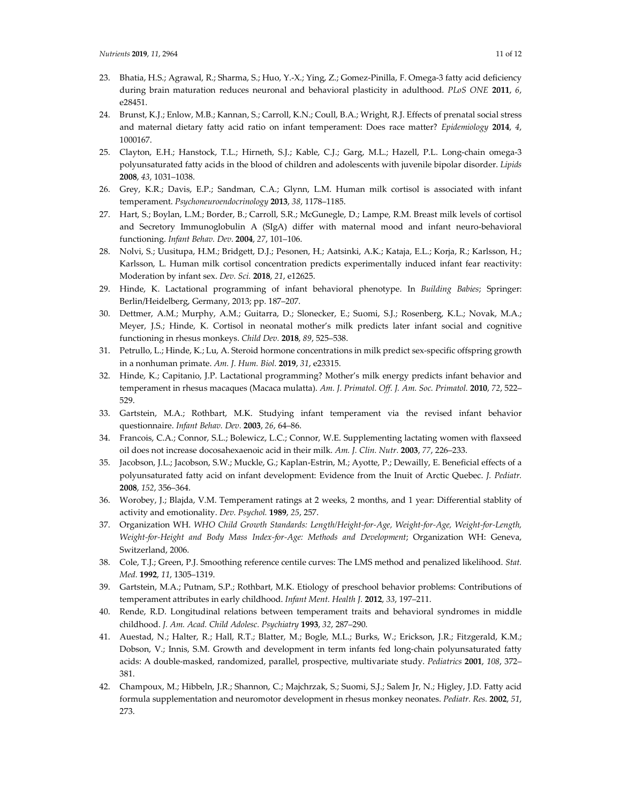- 23. Bhatia, H.S.; Agrawal, R.; Sharma, S.; Huo, Y.-X.; Ying, Z.; Gomez-Pinilla, F. Omega-3 fatty acid deficiency during brain maturation reduces neuronal and behavioral plasticity in adulthood. *PLoS ONE* **2011**, *6*, e28451.
- 24. Brunst, K.J.; Enlow, M.B.; Kannan, S.; Carroll, K.N.; Coull, B.A.; Wright, R.J. Effects of prenatal social stress and maternal dietary fatty acid ratio on infant temperament: Does race matter? *Epidemiology* **2014**, *4*, 1000167.
- 25. Clayton, E.H.; Hanstock, T.L.; Hirneth, S.J.; Kable, C.J.; Garg, M.L.; Hazell, P.L. Long-chain omega-3 polyunsaturated fatty acids in the blood of children and adolescents with juvenile bipolar disorder. *Lipids*  **2008**, *43*, 1031–1038.
- 26. Grey, K.R.; Davis, E.P.; Sandman, C.A.; Glynn, L.M. Human milk cortisol is associated with infant temperament. *Psychoneuroendocrinology* **2013**, *38*, 1178–1185.
- 27. Hart, S.; Boylan, L.M.; Border, B.; Carroll, S.R.; McGunegle, D.; Lampe, R.M. Breast milk levels of cortisol and Secretory Immunoglobulin A (SIgA) differ with maternal mood and infant neuro-behavioral functioning. *Infant Behav. Dev.* **2004**, *27*, 101–106.
- 28. Nolvi, S.; Uusitupa, H.M.; Bridgett, D.J.; Pesonen, H.; Aatsinki, A.K.; Kataja, E.L.; Korja, R.; Karlsson, H.; Karlsson, L. Human milk cortisol concentration predicts experimentally induced infant fear reactivity: Moderation by infant sex. *Dev. Sci.* **2018**, *21*, e12625.
- 29. Hinde, K. Lactational programming of infant behavioral phenotype. In *Building Babies*; Springer: Berlin/Heidelberg, Germany, 2013; pp. 187–207.
- 30. Dettmer, A.M.; Murphy, A.M.; Guitarra, D.; Slonecker, E.; Suomi, S.J.; Rosenberg, K.L.; Novak, M.A.; Meyer, J.S.; Hinde, K. Cortisol in neonatal mother's milk predicts later infant social and cognitive functioning in rhesus monkeys. *Child Dev.* **2018**, *89*, 525–538.
- 31. Petrullo, L.; Hinde, K.; Lu, A. Steroid hormone concentrations in milk predict sex-specific offspring growth in a nonhuman primate. *Am. J. Hum. Biol.* **2019**, *31*, e23315.
- 32. Hinde, K.; Capitanio, J.P. Lactational programming? Mother's milk energy predicts infant behavior and temperament in rhesus macaques (Macaca mulatta). *Am. J. Primatol. Off. J. Am. Soc. Primatol.* **2010**, *72*, 522– 529.
- 33. Gartstein, M.A.; Rothbart, M.K. Studying infant temperament via the revised infant behavior questionnaire. *Infant Behav. Dev.* **2003**, *26*, 64–86.
- 34. Francois, C.A.; Connor, S.L.; Bolewicz, L.C.; Connor, W.E. Supplementing lactating women with flaxseed oil does not increase docosahexaenoic acid in their milk. *Am. J. Clin. Nutr.* **2003**, *77*, 226–233.
- 35. Jacobson, J.L.; Jacobson, S.W.; Muckle, G.; Kaplan-Estrin, M.; Ayotte, P.; Dewailly, E. Beneficial effects of a polyunsaturated fatty acid on infant development: Evidence from the Inuit of Arctic Quebec. *J. Pediatr.*  **2008**, *152*, 356–364.
- 36. Worobey, J.; Blajda, V.M. Temperament ratings at 2 weeks, 2 months, and 1 year: Differential stablity of activity and emotionality. *Dev. Psychol.* **1989**, *25*, 257.
- 37. Organization WH. *WHO Child Growth Standards: Length/Height-for-Age, Weight-for-Age, Weight-for-Length, Weight-for-Height and Body Mass Index-for-Age: Methods and Development*; Organization WH: Geneva, Switzerland, 2006.
- 38. Cole, T.J.; Green, P.J. Smoothing reference centile curves: The LMS method and penalized likelihood. *Stat. Med.* **1992**, *11*, 1305–1319.
- 39. Gartstein, M.A.; Putnam, S.P.; Rothbart, M.K. Etiology of preschool behavior problems: Contributions of temperament attributes in early childhood. *Infant Ment. Health J.* **2012**, *33*, 197–211.
- 40. Rende, R.D. Longitudinal relations between temperament traits and behavioral syndromes in middle childhood. *J. Am. Acad. Child Adolesc. Psychiatry* **1993**, *32*, 287–290.
- 41. Auestad, N.; Halter, R.; Hall, R.T.; Blatter, M.; Bogle, M.L.; Burks, W.; Erickson, J.R.; Fitzgerald, K.M.; Dobson, V.; Innis, S.M. Growth and development in term infants fed long-chain polyunsaturated fatty acids: A double-masked, randomized, parallel, prospective, multivariate study. *Pediatrics* **2001**, *108*, 372– 381.
- 42. Champoux, M.; Hibbeln, J.R.; Shannon, C.; Majchrzak, S.; Suomi, S.J.; Salem Jr, N.; Higley, J.D. Fatty acid formula supplementation and neuromotor development in rhesus monkey neonates. *Pediatr. Res.* **2002**, *51*, 273.